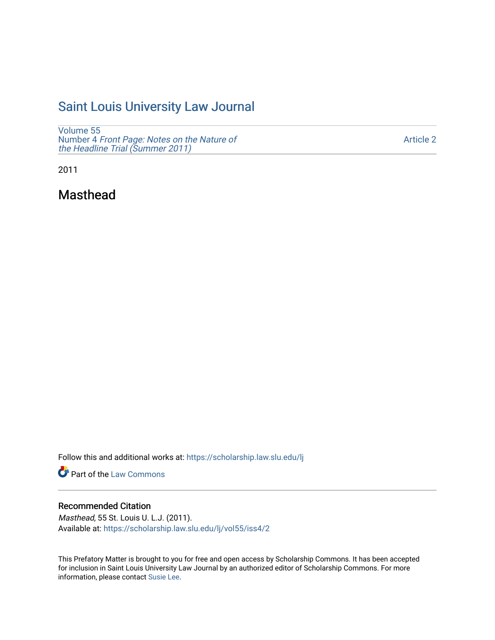# [Saint Louis University Law Journal](https://scholarship.law.slu.edu/lj)

[Volume 55](https://scholarship.law.slu.edu/lj/vol55) Number 4 [Front Page: Notes on the Nature of](https://scholarship.law.slu.edu/lj/vol55/iss4) [the Headline Trial \(Summer 2011\)](https://scholarship.law.slu.edu/lj/vol55/iss4)

[Article 2](https://scholarship.law.slu.edu/lj/vol55/iss4/2) 

2011

Masthead

Follow this and additional works at: [https://scholarship.law.slu.edu/lj](https://scholarship.law.slu.edu/lj?utm_source=scholarship.law.slu.edu%2Flj%2Fvol55%2Fiss4%2F2&utm_medium=PDF&utm_campaign=PDFCoverPages) 

Part of the [Law Commons](http://network.bepress.com/hgg/discipline/578?utm_source=scholarship.law.slu.edu%2Flj%2Fvol55%2Fiss4%2F2&utm_medium=PDF&utm_campaign=PDFCoverPages)

## Recommended Citation

Masthead, 55 St. Louis U. L.J. (2011). Available at: [https://scholarship.law.slu.edu/lj/vol55/iss4/2](https://scholarship.law.slu.edu/lj/vol55/iss4/2?utm_source=scholarship.law.slu.edu%2Flj%2Fvol55%2Fiss4%2F2&utm_medium=PDF&utm_campaign=PDFCoverPages) 

This Prefatory Matter is brought to you for free and open access by Scholarship Commons. It has been accepted for inclusion in Saint Louis University Law Journal by an authorized editor of Scholarship Commons. For more information, please contact [Susie Lee](mailto:susie.lee@slu.edu).